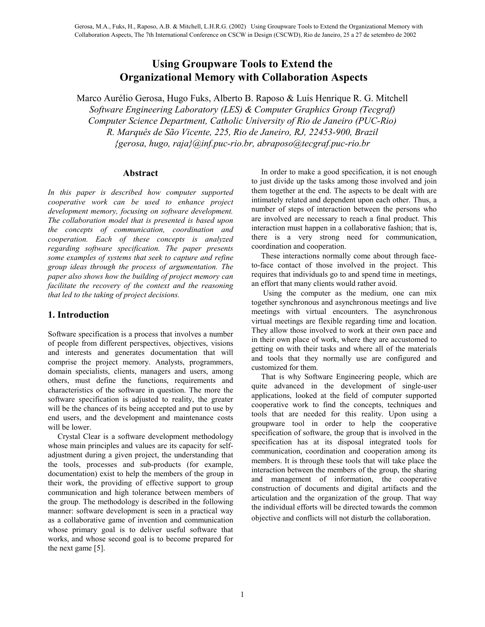# **Using Groupware Tools to Extend the Organizational Memory with Collaboration Aspects**

Marco Aurélio Gerosa, Hugo Fuks, Alberto B. Raposo & Luís Henrique R. G. Mitchell *Software Engineering Laboratory (LES) & Computer Graphics Group (Tecgraf) Computer Science Department, Catholic University of Rio de Janeiro (PUC-Rio) R. Marquês de São Vicente, 225, Rio de Janeiro, RJ, 22453-900, Brazil {gerosa, hugo, raja}@inf.puc-rio.br, abraposo@tecgraf.puc-rio.br*

#### **Abstract**

*In this paper is described how computer supported cooperative work can be used to enhance project development memory, focusing on software development. The collaboration model that is presented is based upon the concepts of communication, coordination and cooperation. Each of these concepts is analyzed regarding software specification. The paper presents some examples of systems that seek to capture and refine group ideas through the process of argumentation. The paper also shows how the building of project memory can facilitate the recovery of the context and the reasoning that led to the taking of project decisions.*

# **1. Introduction**

Software specification is a process that involves a number of people from different perspectives, objectives, visions and interests and generates documentation that will comprise the project memory. Analysts, programmers, domain specialists, clients, managers and users, among others, must define the functions, requirements and characteristics of the software in question. The more the software specification is adjusted to reality, the greater will be the chances of its being accepted and put to use by end users, and the development and maintenance costs will be lower.

Crystal Clear is a software development methodology whose main principles and values are its capacity for selfadjustment during a given project, the understanding that the tools, processes and sub-products (for example, documentation) exist to help the members of the group in their work, the providing of effective support to group communication and high tolerance between members of the group. The methodology is described in the following manner: software development is seen in a practical way as a collaborative game of invention and communication whose primary goal is to deliver useful software that works, and whose second goal is to become prepared for the next game [5].

In order to make a good specification, it is not enough to just divide up the tasks among those involved and join them together at the end. The aspects to be dealt with are intimately related and dependent upon each other. Thus, a number of steps of interaction between the persons who are involved are necessary to reach a final product. This interaction must happen in a collaborative fashion; that is, there is a very strong need for communication, coordination and cooperation.

These interactions normally come about through faceto-face contact of those involved in the project. This requires that individuals go to and spend time in meetings, an effort that many clients would rather avoid.

 Using the computer as the medium, one can mix together synchronous and asynchronous meetings and live meetings with virtual encounters. The asynchronous virtual meetings are flexible regarding time and location. They allow those involved to work at their own pace and in their own place of work, where they are accustomed to getting on with their tasks and where all of the materials and tools that they normally use are configured and customized for them.

That is why Software Engineering people, which are quite advanced in the development of single-user applications, looked at the field of computer supported cooperative work to find the concepts, techniques and tools that are needed for this reality. Upon using a groupware tool in order to help the cooperative specification of software, the group that is involved in the specification has at its disposal integrated tools for communication, coordination and cooperation among its members. It is through these tools that will take place the interaction between the members of the group, the sharing and management of information, the cooperative construction of documents and digital artifacts and the articulation and the organization of the group. That way the individual efforts will be directed towards the common objective and conflicts will not disturb the collaboration.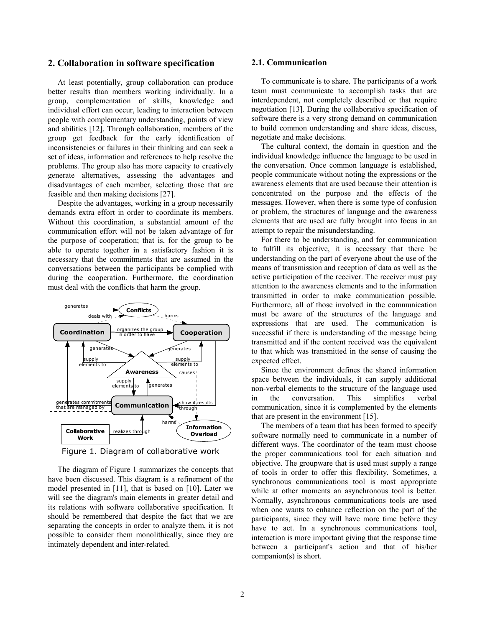#### **2. Collaboration in software specification**

At least potentially, group collaboration can produce better results than members working individually. In a group, complementation of skills, knowledge and individual effort can occur, leading to interaction between people with complementary understanding, points of view and abilities [12]. Through collaboration, members of the group get feedback for the early identification of inconsistencies or failures in their thinking and can seek a set of ideas, information and references to help resolve the problems. The group also has more capacity to creatively generate alternatives, assessing the advantages and disadvantages of each member, selecting those that are feasible and then making decisions [27].

Despite the advantages, working in a group necessarily demands extra effort in order to coordinate its members. Without this coordination, a substantial amount of the communication effort will not be taken advantage of for the purpose of cooperation; that is, for the group to be able to operate together in a satisfactory fashion it is necessary that the commitments that are assumed in the conversations between the participants be complied with during the cooperation. Furthermore, the coordination must deal with the conflicts that harm the group.



Figure 1. Diagram of collaborative work

The diagram of Figure 1 summarizes the concepts that have been discussed. This diagram is a refinement of the model presented in [11], that is based on [10]. Later we will see the diagram's main elements in greater detail and its relations with software collaborative specification. It should be remembered that despite the fact that we are separating the concepts in order to analyze them, it is not possible to consider them monolithically, since they are intimately dependent and inter-related.

#### **2.1. Communication**

To communicate is to share. The participants of a work team must communicate to accomplish tasks that are interdependent, not completely described or that require negotiation [13]. During the collaborative specification of software there is a very strong demand on communication to build common understanding and share ideas, discuss, negotiate and make decisions.

The cultural context, the domain in question and the individual knowledge influence the language to be used in the conversation. Once common language is established, people communicate without noting the expressions or the awareness elements that are used because their attention is concentrated on the purpose and the effects of the messages. However, when there is some type of confusion or problem, the structures of language and the awareness elements that are used are fully brought into focus in an attempt to repair the misunderstanding.

For there to be understanding, and for communication to fulfill its objective, it is necessary that there be understanding on the part of everyone about the use of the means of transmission and reception of data as well as the active participation of the receiver. The receiver must pay attention to the awareness elements and to the information transmitted in order to make communication possible. Furthermore, all of those involved in the communication must be aware of the structures of the language and expressions that are used. The communication is successful if there is understanding of the message being transmitted and if the content received was the equivalent to that which was transmitted in the sense of causing the expected effect.

Since the environment defines the shared information space between the individuals, it can supply additional non-verbal elements to the structure of the language used in the conversation. This simplifies verbal communication, since it is complemented by the elements that are present in the environment [15].

The members of a team that has been formed to specify software normally need to communicate in a number of different ways. The coordinator of the team must choose the proper communications tool for each situation and objective. The groupware that is used must supply a range of tools in order to offer this flexibility. Sometimes, a synchronous communications tool is most appropriate while at other moments an asynchronous tool is better. Normally, asynchronous communications tools are used when one wants to enhance reflection on the part of the participants, since they will have more time before they have to act. In a synchronous communications tool, interaction is more important giving that the response time between a participant's action and that of his/her companion(s) is short.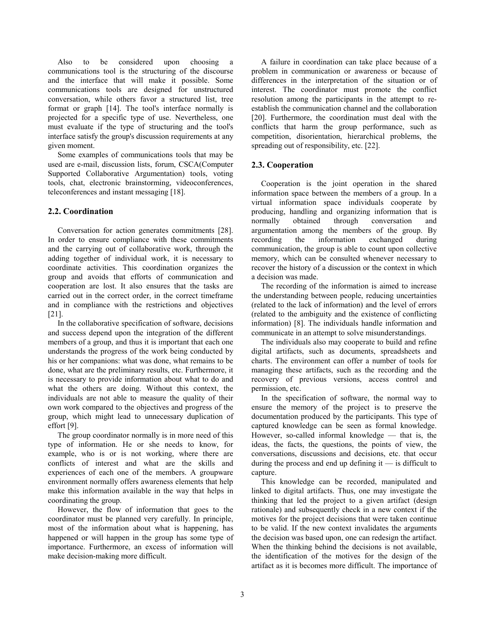Also to be considered upon choosing a communications tool is the structuring of the discourse and the interface that will make it possible. Some communications tools are designed for unstructured conversation, while others favor a structured list, tree format or graph [14]. The tool's interface normally is projected for a specific type of use. Nevertheless, one must evaluate if the type of structuring and the tool's interface satisfy the group's discussion requirements at any given moment.

Some examples of communications tools that may be used are e-mail, discussion lists, forum, CSCA(Computer Supported Collaborative Argumentation) tools, voting tools, chat, electronic brainstorming, videoconferences, teleconferences and instant messaging [18].

#### **2.2. Coordination**

Conversation for action generates commitments [28]. In order to ensure compliance with these commitments and the carrying out of collaborative work, through the adding together of individual work, it is necessary to coordinate activities. This coordination organizes the group and avoids that efforts of communication and cooperation are lost. It also ensures that the tasks are carried out in the correct order, in the correct timeframe and in compliance with the restrictions and objectives [21].

In the collaborative specification of software, decisions and success depend upon the integration of the different members of a group, and thus it is important that each one understands the progress of the work being conducted by his or her companions: what was done, what remains to be done, what are the preliminary results, etc. Furthermore, it is necessary to provide information about what to do and what the others are doing. Without this context, the individuals are not able to measure the quality of their own work compared to the objectives and progress of the group, which might lead to unnecessary duplication of effort [9].

The group coordinator normally is in more need of this type of information. He or she needs to know, for example, who is or is not working, where there are conflicts of interest and what are the skills and experiences of each one of the members. A groupware environment normally offers awareness elements that help make this information available in the way that helps in coordinating the group.

However, the flow of information that goes to the coordinator must be planned very carefully. In principle, most of the information about what is happening, has happened or will happen in the group has some type of importance. Furthermore, an excess of information will make decision-making more difficult.

A failure in coordination can take place because of a problem in communication or awareness or because of differences in the interpretation of the situation or of interest. The coordinator must promote the conflict resolution among the participants in the attempt to reestablish the communication channel and the collaboration [20]. Furthermore, the coordination must deal with the conflicts that harm the group performance, such as competition, disorientation, hierarchical problems, the spreading out of responsibility, etc. [22].

#### **2.3. Cooperation**

Cooperation is the joint operation in the shared information space between the members of a group. In a virtual information space individuals cooperate by producing, handling and organizing information that is normally obtained through conversation and argumentation among the members of the group. By recording the information exchanged during communication, the group is able to count upon collective memory, which can be consulted whenever necessary to recover the history of a discussion or the context in which a decision was made.

The recording of the information is aimed to increase the understanding between people, reducing uncertainties (related to the lack of information) and the level of errors (related to the ambiguity and the existence of conflicting information) [8]. The individuals handle information and communicate in an attempt to solve misunderstandings.

The individuals also may cooperate to build and refine digital artifacts, such as documents, spreadsheets and charts. The environment can offer a number of tools for managing these artifacts, such as the recording and the recovery of previous versions, access control and permission, etc.

In the specification of software, the normal way to ensure the memory of the project is to preserve the documentation produced by the participants. This type of captured knowledge can be seen as formal knowledge. However, so-called informal knowledge — that is, the ideas, the facts, the questions, the points of view, the conversations, discussions and decisions, etc. that occur during the process and end up defining  $it$  — is difficult to capture.

This knowledge can be recorded, manipulated and linked to digital artifacts. Thus, one may investigate the thinking that led the project to a given artifact (design rationale) and subsequently check in a new context if the motives for the project decisions that were taken continue to be valid. If the new context invalidates the arguments the decision was based upon, one can redesign the artifact. When the thinking behind the decisions is not available, the identification of the motives for the design of the artifact as it is becomes more difficult. The importance of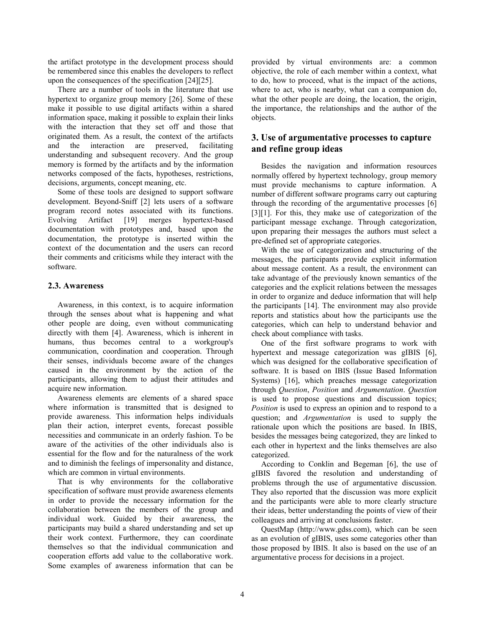the artifact prototype in the development process should be remembered since this enables the developers to reflect upon the consequences of the specification [24][25].

There are a number of tools in the literature that use hypertext to organize group memory [26]. Some of these make it possible to use digital artifacts within a shared information space, making it possible to explain their links with the interaction that they set off and those that originated them. As a result, the context of the artifacts and the interaction are preserved, facilitating understanding and subsequent recovery. And the group memory is formed by the artifacts and by the information networks composed of the facts, hypotheses, restrictions, decisions, arguments, concept meaning, etc.

Some of these tools are designed to support software development. Beyond-Sniff [2] lets users of a software program record notes associated with its functions. Evolving Artifact [19] merges hypertext-based documentation with prototypes and, based upon the documentation, the prototype is inserted within the context of the documentation and the users can record their comments and criticisms while they interact with the software.

#### **2.3. Awareness**

Awareness, in this context, is to acquire information through the senses about what is happening and what other people are doing, even without communicating directly with them [4]. Awareness, which is inherent in humans, thus becomes central to a workgroup's communication, coordination and cooperation. Through their senses, individuals become aware of the changes caused in the environment by the action of the participants, allowing them to adjust their attitudes and acquire new information.

Awareness elements are elements of a shared space where information is transmitted that is designed to provide awareness. This information helps individuals plan their action, interpret events, forecast possible necessities and communicate in an orderly fashion. To be aware of the activities of the other individuals also is essential for the flow and for the naturalness of the work and to diminish the feelings of impersonality and distance, which are common in virtual environments.

That is why environments for the collaborative specification of software must provide awareness elements in order to provide the necessary information for the collaboration between the members of the group and individual work. Guided by their awareness, the participants may build a shared understanding and set up their work context. Furthermore, they can coordinate themselves so that the individual communication and cooperation efforts add value to the collaborative work. Some examples of awareness information that can be provided by virtual environments are: a common objective, the role of each member within a context, what to do, how to proceed, what is the impact of the actions, where to act, who is nearby, what can a companion do, what the other people are doing, the location, the origin, the importance, the relationships and the author of the objects.

## **3. Use of argumentative processes to capture and refine group ideas**

Besides the navigation and information resources normally offered by hypertext technology, group memory must provide mechanisms to capture information. A number of different software programs carry out capturing through the recording of the argumentative processes [6] [3][1]. For this, they make use of categorization of the participant message exchange. Through categorization, upon preparing their messages the authors must select a pre-defined set of appropriate categories.

With the use of categorization and structuring of the messages, the participants provide explicit information about message content. As a result, the environment can take advantage of the previously known semantics of the categories and the explicit relations between the messages in order to organize and deduce information that will help the participants [14]. The environment may also provide reports and statistics about how the participants use the categories, which can help to understand behavior and check about compliance with tasks.

One of the first software programs to work with hypertext and message categorization was gIBIS [6], which was designed for the collaborative specification of software. It is based on IBIS (Issue Based Information Systems) [16], which preaches message categorization through *Question*, *Position* and *Argumentation*. *Question* is used to propose questions and discussion topics; *Position* is used to express an opinion and to respond to a question; and *Argumentation* is used to supply the rationale upon which the positions are based. In IBIS, besides the messages being categorized, they are linked to each other in hypertext and the links themselves are also categorized.

According to Conklin and Begeman [6], the use of gIBIS favored the resolution and understanding of problems through the use of argumentative discussion. They also reported that the discussion was more explicit and the participants were able to more clearly structure their ideas, better understanding the points of view of their colleagues and arriving at conclusions faster.

QuestMap (http://www.gdss.com), which can be seen as an evolution of gIBIS, uses some categories other than those proposed by IBIS. It also is based on the use of an argumentative process for decisions in a project.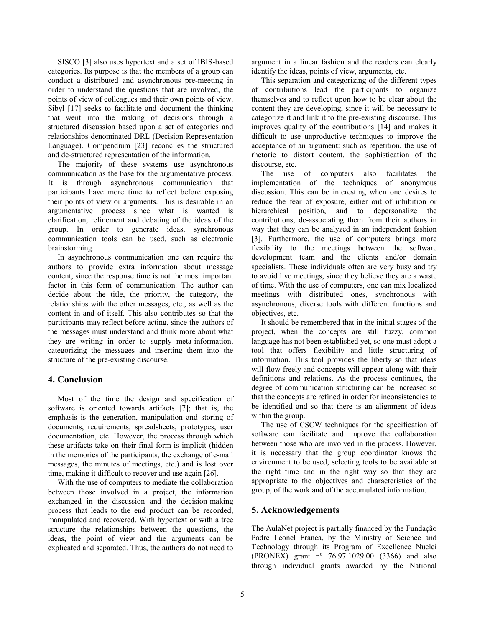SISCO [3] also uses hypertext and a set of IBIS-based categories. Its purpose is that the members of a group can conduct a distributed and asynchronous pre-meeting in order to understand the questions that are involved, the points of view of colleagues and their own points of view. Sibyl [17] seeks to facilitate and document the thinking that went into the making of decisions through a structured discussion based upon a set of categories and relationships denominated DRL (Decision Representation Language). Compendium [23] reconciles the structured and de-structured representation of the information.

The majority of these systems use asynchronous communication as the base for the argumentative process. It is through asynchronous communication that participants have more time to reflect before exposing their points of view or arguments. This is desirable in an argumentative process since what is wanted is clarification, refinement and debating of the ideas of the group. In order to generate ideas, synchronous communication tools can be used, such as electronic brainstorming.

In asynchronous communication one can require the authors to provide extra information about message content, since the response time is not the most important factor in this form of communication. The author can decide about the title, the priority, the category, the relationships with the other messages, etc., as well as the content in and of itself. This also contributes so that the participants may reflect before acting, since the authors of the messages must understand and think more about what they are writing in order to supply meta-information, categorizing the messages and inserting them into the structure of the pre-existing discourse.

### **4. Conclusion**

Most of the time the design and specification of software is oriented towards artifacts [7]; that is, the emphasis is the generation, manipulation and storing of documents, requirements, spreadsheets, prototypes, user documentation, etc. However, the process through which these artifacts take on their final form is implicit (hidden in the memories of the participants, the exchange of e-mail messages, the minutes of meetings, etc.) and is lost over time, making it difficult to recover and use again [26].

With the use of computers to mediate the collaboration between those involved in a project, the information exchanged in the discussion and the decision-making process that leads to the end product can be recorded, manipulated and recovered. With hypertext or with a tree structure the relationships between the questions, the ideas, the point of view and the arguments can be explicated and separated. Thus, the authors do not need to

argument in a linear fashion and the readers can clearly identify the ideas, points of view, arguments, etc.

This separation and categorizing of the different types of contributions lead the participants to organize themselves and to reflect upon how to be clear about the content they are developing, since it will be necessary to categorize it and link it to the pre-existing discourse. This improves quality of the contributions [14] and makes it difficult to use unproductive techniques to improve the acceptance of an argument: such as repetition, the use of rhetoric to distort content, the sophistication of the discourse, etc.

The use of computers also facilitates the implementation of the techniques of anonymous discussion. This can be interesting when one desires to reduce the fear of exposure, either out of inhibition or hierarchical position, and to depersonalize the contributions, de-associating them from their authors in way that they can be analyzed in an independent fashion [3]. Furthermore, the use of computers brings more flexibility to the meetings between the software development team and the clients and/or domain specialists. These individuals often are very busy and try to avoid live meetings, since they believe they are a waste of time. With the use of computers, one can mix localized meetings with distributed ones, synchronous with asynchronous, diverse tools with different functions and objectives, etc.

It should be remembered that in the initial stages of the project, when the concepts are still fuzzy, common language has not been established yet, so one must adopt a tool that offers flexibility and little structuring of information. This tool provides the liberty so that ideas will flow freely and concepts will appear along with their definitions and relations. As the process continues, the degree of communication structuring can be increased so that the concepts are refined in order for inconsistencies to be identified and so that there is an alignment of ideas within the group.

The use of CSCW techniques for the specification of software can facilitate and improve the collaboration between those who are involved in the process. However, it is necessary that the group coordinator knows the environment to be used, selecting tools to be available at the right time and in the right way so that they are appropriate to the objectives and characteristics of the group, of the work and of the accumulated information.

### **5. Acknowledgements**

The AulaNet project is partially financed by the Fundação Padre Leonel Franca, by the Ministry of Science and Technology through its Program of Excellence Nuclei (PRONEX) grant nº 76.97.1029.00 (3366) and also through individual grants awarded by the National